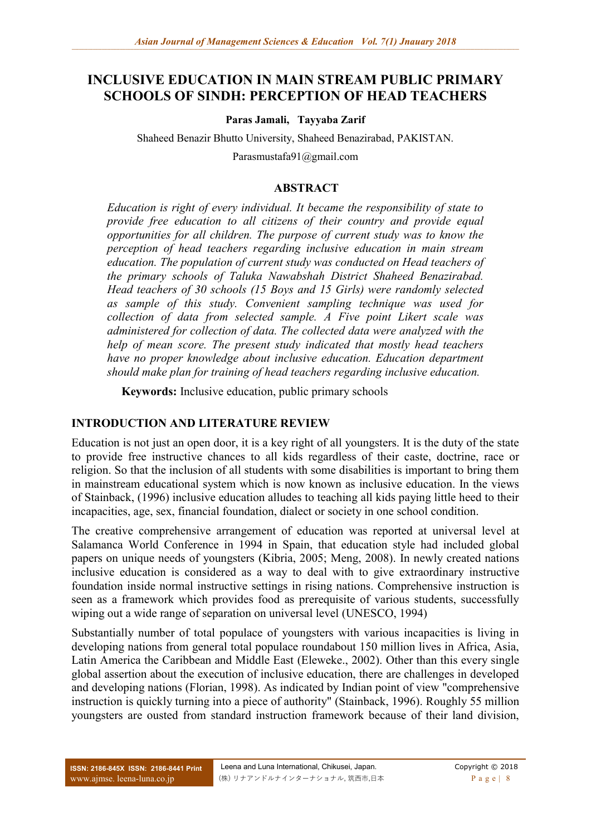# **INCLUSIVE EDUCATION IN MAIN STREAM PUBLIC PRIMARY SCHOOLS OF SINDH: PERCEPTION OF HEAD TEACHERS**

**Paras Jamali, Tayyaba Zarif**

Shaheed Benazir Bhutto University, Shaheed Benazirabad, PAKISTAN. Parasmustafa91@gmail.com

#### **ABSTRACT**

*Education is right of every individual. It became the responsibility of state to provide free education to all citizens of their country and provide equal opportunities for all children. The purpose of current study was to know the perception of head teachers regarding inclusive education in main stream education. The population of current study was conducted on Head teachers of the primary schools of Taluka Nawabshah District Shaheed Benazirabad. Head teachers of 30 schools (15 Boys and 15 Girls) were randomly selected as sample of this study. Convenient sampling technique was used for collection of data from selected sample. A Five point Likert scale was administered for collection of data. The collected data were analyzed with the help of mean score. The present study indicated that mostly head teachers have no proper knowledge about inclusive education. Education department should make plan for training of head teachers regarding inclusive education.*

**Keywords:** Inclusive education, public primary schools

#### **INTRODUCTION AND LITERATURE REVIEW**

Education is not just an open door, it is a key right of all youngsters. It is the duty of the state to provide free instructive chances to all kids regardless of their caste, doctrine, race or religion. So that the inclusion of all students with some disabilities is important to bring them in mainstream educational system which is now known as inclusive education. In the views of Stainback, (1996) inclusive education alludes to teaching all kids paying little heed to their incapacities, age, sex, financial foundation, dialect or society in one school condition.

The creative comprehensive arrangement of education was reported at universal level at Salamanca World Conference in 1994 in Spain, that education style had included global papers on unique needs of youngsters (Kibria, 2005; Meng, 2008). In newly created nations inclusive education is considered as a way to deal with to give extraordinary instructive foundation inside normal instructive settings in rising nations. Comprehensive instruction is seen as a framework which provides food as prerequisite of various students, successfully wiping out a wide range of separation on universal level (UNESCO, 1994)

Substantially number of total populace of youngsters with various incapacities is living in developing nations from general total populace roundabout 150 million lives in Africa, Asia, Latin America the Caribbean and Middle East (Eleweke., 2002). Other than this every single global assertion about the execution of inclusive education, there are challenges in developed and developing nations (Florian, 1998). As indicated by Indian point of view "comprehensive instruction is quickly turning into a piece of authority" (Stainback, 1996). Roughly 55 million youngsters are ousted from standard instruction framework because of their land division,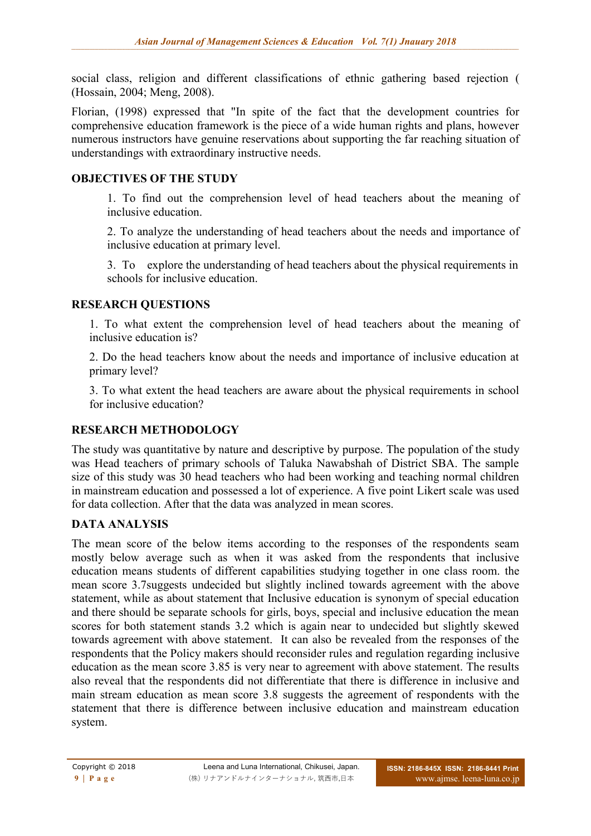social class, religion and different classifications of ethnic gathering based rejection ( (Hossain, 2004; Meng, 2008).

Florian, (1998) expressed that "In spite of the fact that the development countries for comprehensive education framework is the piece of a wide human rights and plans, however numerous instructors have genuine reservations about supporting the far reaching situation of understandings with extraordinary instructive needs.

### **OBJECTIVES OF THE STUDY**

1. To find out the comprehension level of head teachers about the meaning of inclusive education.

2. To analyze the understanding of head teachers about the needs and importance of inclusive education at primary level.

3. To explore the understanding of head teachers about the physical requirements in schools for inclusive education.

### **RESEARCH QUESTIONS**

1. To what extent the comprehension level of head teachers about the meaning of inclusive education is?

2. Do the head teachers know about the needs and importance of inclusive education at primary level?

3. To what extent the head teachers are aware about the physical requirements in school for inclusive education?

## **RESEARCH METHODOLOGY**

The study was quantitative by nature and descriptive by purpose. The population of the study was Head teachers of primary schools of Taluka Nawabshah of District SBA. The sample size of this study was 30 head teachers who had been working and teaching normal children in mainstream education and possessed a lot of experience. A five point Likert scale was used for data collection. After that the data was analyzed in mean scores.

## **DATA ANALYSIS**

The mean score of the below items according to the responses of the respondents seam mostly below average such as when it was asked from the respondents that inclusive education means students of different capabilities studying together in one class room. the mean score 3.7suggests undecided but slightly inclined towards agreement with the above statement, while as about statement that Inclusive education is synonym of special education and there should be separate schools for girls, boys, special and inclusive education the mean scores for both statement stands 3.2 which is again near to undecided but slightly skewed towards agreement with above statement. It can also be revealed from the responses of the respondents that the Policy makers should reconsider rules and regulation regarding inclusive education as the mean score 3.85 is very near to agreement with above statement. The results also reveal that the respondents did not differentiate that there is difference in inclusive and main stream education as mean score 3.8 suggests the agreement of respondents with the statement that there is difference between inclusive education and mainstream education system.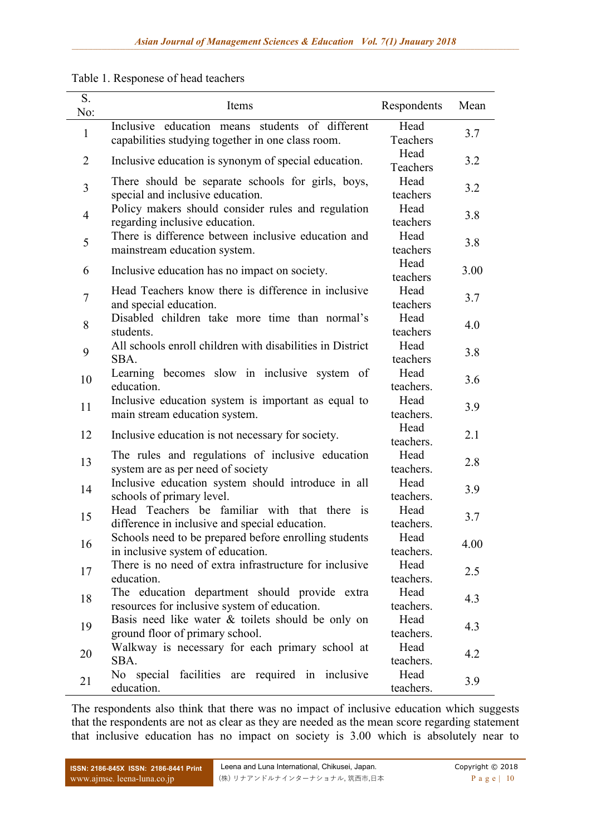|  |  | Table 1. Responese of head teachers |  |  |
|--|--|-------------------------------------|--|--|
|--|--|-------------------------------------|--|--|

| S.<br>No:      | Items                                                                                                | Respondents       | Mean |
|----------------|------------------------------------------------------------------------------------------------------|-------------------|------|
| $\mathbf{1}$   | Inclusive education means students of different<br>capabilities studying together in one class room. | Head<br>Teachers  | 3.7  |
| 2              | Inclusive education is synonym of special education.                                                 | Head<br>Teachers  | 3.2  |
| 3              | There should be separate schools for girls, boys,<br>special and inclusive education.                | Head<br>teachers  | 3.2  |
| $\overline{4}$ | Policy makers should consider rules and regulation<br>regarding inclusive education.                 | Head<br>teachers  | 3.8  |
| 5              | There is difference between inclusive education and<br>mainstream education system.                  | Head<br>teachers  | 3.8  |
| 6              | Inclusive education has no impact on society.                                                        | Head<br>teachers  | 3.00 |
| $\overline{7}$ | Head Teachers know there is difference in inclusive<br>and special education.                        | Head<br>teachers  | 3.7  |
| 8              | Disabled children take more time than normal's<br>students.                                          | Head<br>teachers  | 4.0  |
| 9              | All schools enroll children with disabilities in District<br>SBA.                                    | Head<br>teachers  | 3.8  |
| 10             | Learning becomes slow in inclusive system of<br>education.                                           | Head<br>teachers. | 3.6  |
| 11             | Inclusive education system is important as equal to<br>main stream education system.                 | Head<br>teachers. | 3.9  |
| 12             | Inclusive education is not necessary for society.                                                    | Head<br>teachers. | 2.1  |
| 13             | The rules and regulations of inclusive education<br>system are as per need of society                | Head<br>teachers. | 2.8  |
| 14             | Inclusive education system should introduce in all<br>schools of primary level.                      | Head<br>teachers. | 3.9  |
| 15             | Head Teachers be familiar with that there is<br>difference in inclusive and special education.       | Head<br>teachers. | 3.7  |
| 16             | Schools need to be prepared before enrolling students<br>in inclusive system of education.           | Head<br>teachers. | 4.00 |
| 17             | There is no need of extra infrastructure for inclusive<br>education.                                 | Head<br>teachers. | 2.5  |
| 18             | The education department should provide extra<br>resources for inclusive system of education.        | Head<br>teachers. | 4.3  |
| 19             | Basis need like water & toilets should be only on<br>ground floor of primary school.                 | Head<br>teachers. | 4.3  |
| 20             | Walkway is necessary for each primary school at<br>SBA.                                              | Head<br>teachers. | 4.2  |
| 21             | facilities are required in inclusive<br>No special<br>education.                                     | Head<br>teachers. | 3.9  |

The respondents also think that there was no impact of inclusive education which suggests that the respondents are not as clear as they are needed as the mean score regarding statement that inclusive education has no impact on society is 3.00 which is absolutely near to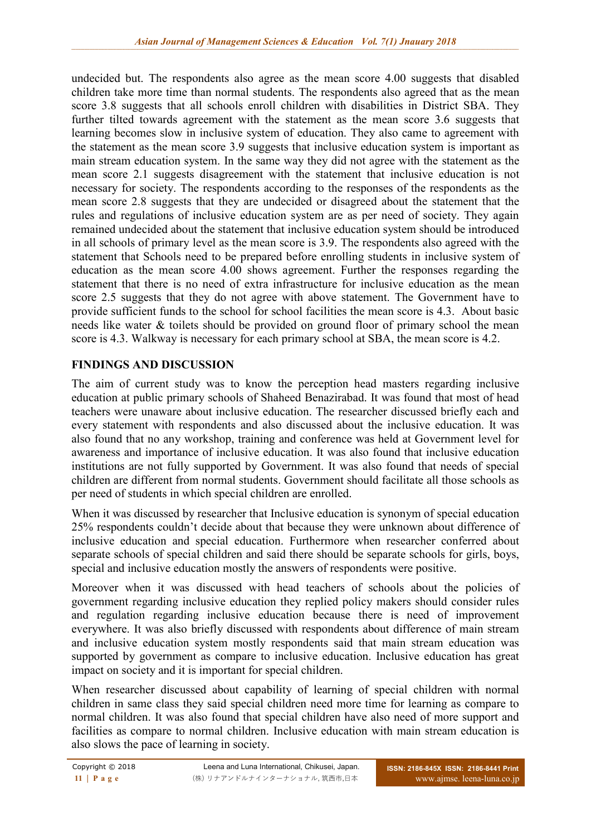undecided but. The respondents also agree as the mean score 4.00 suggests that disabled children take more time than normal students. The respondents also agreed that as the mean score 3.8 suggests that all schools enroll children with disabilities in District SBA. They further tilted towards agreement with the statement as the mean score 3.6 suggests that learning becomes slow in inclusive system of education. They also came to agreement with the statement as the mean score 3.9 suggests that inclusive education system is important as main stream education system. In the same way they did not agree with the statement as the mean score 2.1 suggests disagreement with the statement that inclusive education is not necessary for society. The respondents according to the responses of the respondents as the mean score 2.8 suggests that they are undecided or disagreed about the statement that the rules and regulations of inclusive education system are as per need of society. They again remained undecided about the statement that inclusive education system should be introduced in all schools of primary level as the mean score is 3.9. The respondents also agreed with the statement that Schools need to be prepared before enrolling students in inclusive system of education as the mean score 4.00 shows agreement. Further the responses regarding the statement that there is no need of extra infrastructure for inclusive education as the mean score 2.5 suggests that they do not agree with above statement. The Government have to provide sufficient funds to the school for school facilities the mean score is 4.3. About basic needs like water & toilets should be provided on ground floor of primary school the mean score is 4.3. Walkway is necessary for each primary school at SBA, the mean score is 4.2.

### **FINDINGS AND DISCUSSION**

The aim of current study was to know the perception head masters regarding inclusive education at public primary schools of Shaheed Benazirabad. It was found that most of head teachers were unaware about inclusive education. The researcher discussed briefly each and every statement with respondents and also discussed about the inclusive education. It was also found that no any workshop, training and conference was held at Government level for awareness and importance of inclusive education. It was also found that inclusive education institutions are not fully supported by Government. It was also found that needs of special children are different from normal students. Government should facilitate all those schools as per need of students in which special children are enrolled.

When it was discussed by researcher that Inclusive education is synonym of special education 25% respondents couldn't decide about that because they were unknown about difference of inclusive education and special education. Furthermore when researcher conferred about separate schools of special children and said there should be separate schools for girls, boys, special and inclusive education mostly the answers of respondents were positive.

Moreover when it was discussed with head teachers of schools about the policies of government regarding inclusive education they replied policy makers should consider rules and regulation regarding inclusive education because there is need of improvement everywhere. It was also briefly discussed with respondents about difference of main stream and inclusive education system mostly respondents said that main stream education was supported by government as compare to inclusive education. Inclusive education has great impact on society and it is important for special children.

When researcher discussed about capability of learning of special children with normal children in same class they said special children need more time for learning as compare to normal children. It was also found that special children have also need of more support and facilities as compare to normal children. Inclusive education with main stream education is also slows the pace of learning in society.